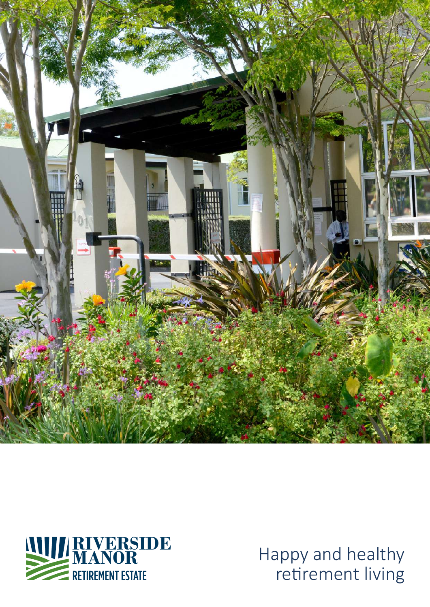



**MANOR** Happy and healthy retirement living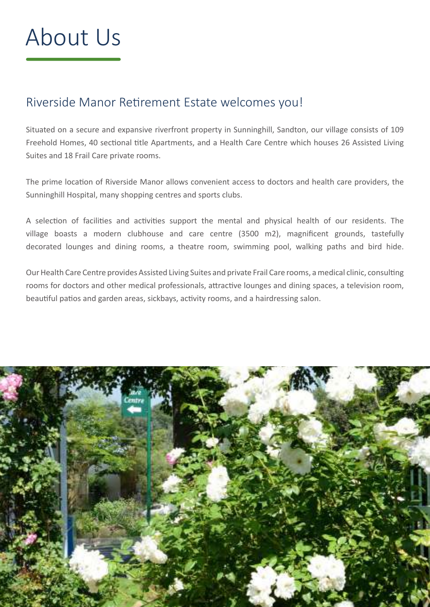# About Us

### Riverside Manor Retirement Estate welcomes you!

Situated on a secure and expansive riverfront property in Sunninghill, Sandton, our village consists of 109 Freehold Homes, 40 sectional title Apartments, and a Health Care Centre which houses 26 Assisted Living Suites and 18 Frail Care private rooms.

The prime location of Riverside Manor allows convenient access to doctors and health care providers, the Sunninghill Hospital, many shopping centres and sports clubs.

A selection of facilities and activities support the mental and physical health of our residents. The village boasts a modern clubhouse and care centre (3500 m2), magnificent grounds, tastefully decorated lounges and dining rooms, a theatre room, swimming pool, walking paths and bird hide.

Our Health Care Centre provides Assisted Living Suites and private Frail Care rooms, a medical clinic, consulting rooms for doctors and other medical professionals, attractive lounges and dining spaces, a television room, beautiful patios and garden areas, sickbays, activity rooms, and a hairdressing salon.

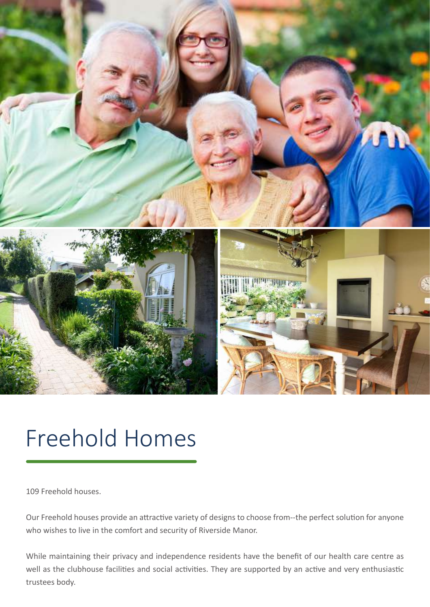

### Freehold Homes

109 Freehold houses.

Our Freehold houses provide an attractive variety of designs to choose from--the perfect solution for anyone who wishes to live in the comfort and security of Riverside Manor.

While maintaining their privacy and independence residents have the benefit of our health care centre as well as the clubhouse facilities and social activities. They are supported by an active and very enthusiastic trustees body.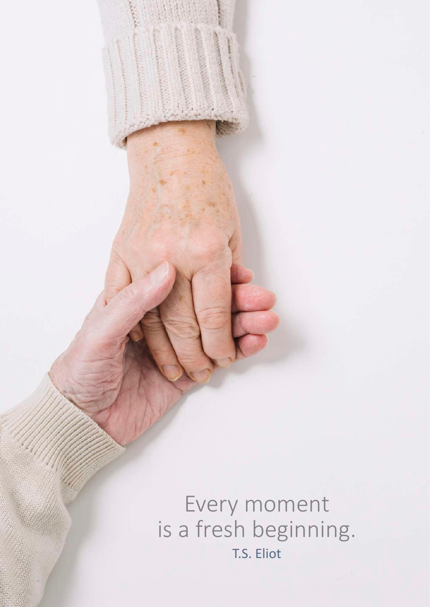Every moment is a fresh beginning. T.S. Eliot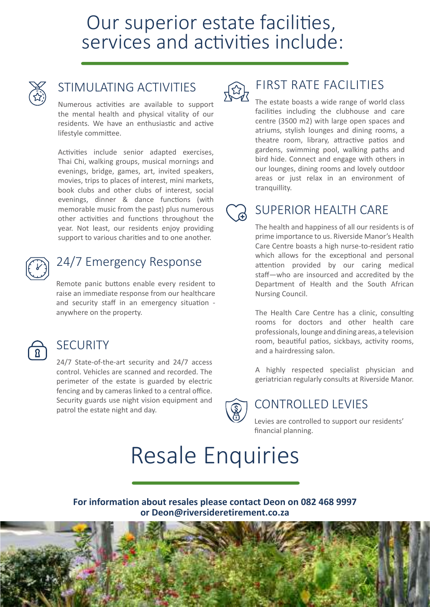### Our superior estate facilities, services and activities include:



#### STIMULATING ACTIVITIES

Numerous activities are available to support the mental health and physical vitality of our residents. We have an enthusiastic and active lifestyle committee.

Activities include senior adapted exercises, Thai Chi, walking groups, musical mornings and evenings, bridge, games, art, invited speakers, movies, trips to places of interest, mini markets, book clubs and other clubs of interest, social evenings, dinner & dance functions (with memorable music from the past) plus numerous other activities and functions throughout the year. Not least, our residents enjoy providing support to various charities and to one another.



#### 24/7 Emergency Response

Remote panic buttons enable every resident to raise an immediate response from our healthcare and security staff in an emergency situation anywhere on the property.



#### **SECURITY**

24/7 State-of-the-art security and 24/7 access control. Vehicles are scanned and recorded. The perimeter of the estate is guarded by electric fencing and by cameras linked to a central office. Security guards use night vision equipment and Security guards use hight vision equipment and  $\widehat{S}$  CONTROLLED LEVIES



#### FIRST RATE FACILITIES

The estate boasts a wide range of world class facilities including the clubhouse and care centre (3500 m2) with large open spaces and atriums, stylish lounges and dining rooms, a theatre room, library, attractive patios and gardens, swimming pool, walking paths and bird hide. Connect and engage with others in our lounges, dining rooms and lovely outdoor areas or just relax in an environment of tranquillity.

#### SUPERIOR HEALTH CARE

The health and happiness of all our residents is of prime importance to us. Riverside Manor's Health Care Centre boasts a high nurse-to-resident ratio which allows for the exceptional and personal attention provided by our caring medical staff—who are insourced and accredited by the Department of Health and the South African Nursing Council.

The Health Care Centre has a clinic, consulting rooms for doctors and other health care professionals, lounge and dining areas, a television room, beautiful patios, sickbays, activity rooms, and a hairdressing salon.

A highly respected specialist physician and geriatrician regularly consults at Riverside Manor.

Levies are controlled to support our residents' financial planning.

### Resale Enquiries

**For information about resales please contact Deon on 082 468 9997 or Deon@riversideretirement.co.za**

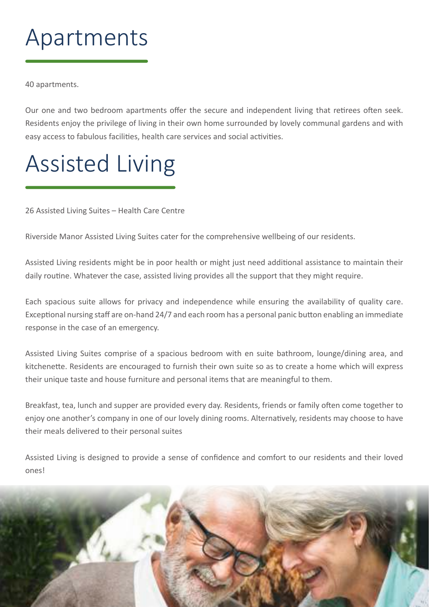## Apartments

40 apartments.

Our one and two bedroom apartments offer the secure and independent living that retirees often seek. Residents enjoy the privilege of living in their own home surrounded by lovely communal gardens and with easy access to fabulous facilities, health care services and social activities.

# Assisted Living

26 Assisted Living Suites – Health Care Centre

Riverside Manor Assisted Living Suites cater for the comprehensive wellbeing of our residents.

Assisted Living residents might be in poor health or might just need additional assistance to maintain their daily routine. Whatever the case, assisted living provides all the support that they might require.

Each spacious suite allows for privacy and independence while ensuring the availability of quality care. Exceptional nursing staff are on-hand 24/7 and each room has a personal panic button enabling an immediate response in the case of an emergency.

Assisted Living Suites comprise of a spacious bedroom with en suite bathroom, lounge/dining area, and kitchenette. Residents are encouraged to furnish their own suite so as to create a home which will express their unique taste and house furniture and personal items that are meaningful to them.

Breakfast, tea, lunch and supper are provided every day. Residents, friends or family often come together to enjoy one another's company in one of our lovely dining rooms. Alternatively, residents may choose to have their meals delivered to their personal suites

Assisted Living is designed to provide a sense of confidence and comfort to our residents and their loved ones!

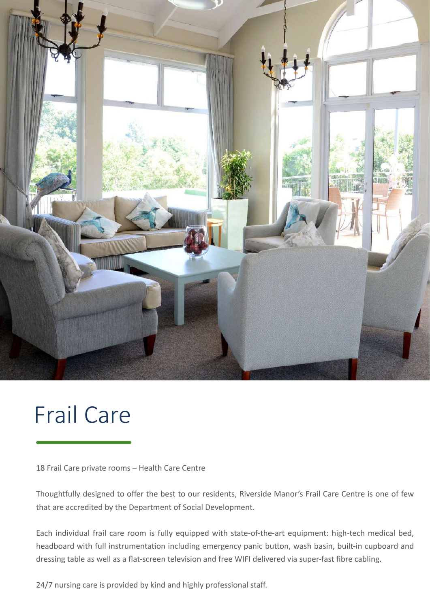

### Frail Care

18 Frail Care private rooms – Health Care Centre

Thoughtfully designed to offer the best to our residents, Riverside Manor's Frail Care Centre is one of few that are accredited by the Department of Social Development.

Each individual frail care room is fully equipped with state-of-the-art equipment: high-tech medical bed, headboard with full instrumentation including emergency panic button, wash basin, built-in cupboard and dressing table as well as a flat-screen television and free WIFI delivered via super-fast fibre cabling.

24/7 nursing care is provided by kind and highly professional staff.